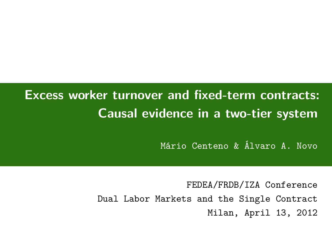# **Excess worker turnover and fixed-term contracts: Causal evidence in a two-tier system**

Mário Centeno & Álvaro A. Novo

FEDEA/FRDB/IZA Conference Dual Labor Markets and the Single Contract Milan, April 13, 2012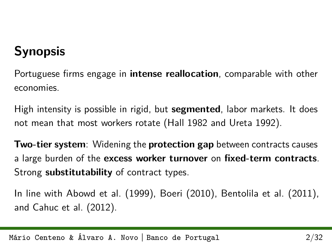# **Synopsis**

Portuguese firms engage in **intense reallocation**, comparable with other economies.

High intensity is possible in rigid, but **segmented**, labor markets. It does not mean that most workers rotate (Hall 1982 and Ureta 1992).

**Two-tier system**: Widening the **protection gap** between contracts causes a large burden of the **excess worker turnover** on **fixed-term contracts**. Strong **substitutability** of contract types.

In line with Abowd et al. (1999), Boeri (2010), Bentolila et al. (2011), and Cahuc et al. (2012).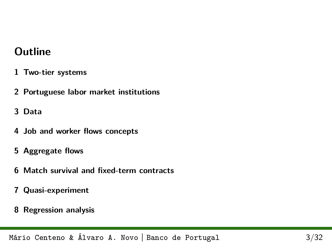### **Outline**

- **[1 Two-tier systems](#page-3-0)**
- **[2 Portuguese labor market institutions](#page-5-0)**
- **[3 Data](#page-7-0)**
- **[4 Job and worker flows concepts](#page-9-0)**
- **[5 Aggregate flows](#page-11-0)**
- **[6 Match survival and fixed-term contracts](#page-15-0)**
- **[7 Quasi-experiment](#page-18-0)**
- **[8 Regression analysis](#page-26-0)**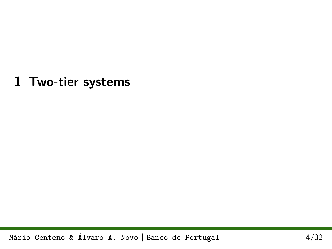<span id="page-3-0"></span>**1 Two-tier systems**

Mário Centeno & Álvaro A. Novo **|** Banco de Portugal 4[/32](#page-31-0)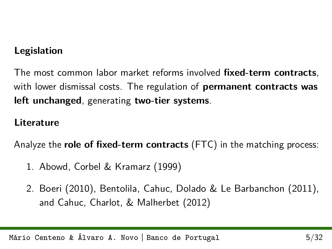### **Legislation**

The most common labor market reforms involved **fixed-term contracts**, with lower dismissal costs. The regulation of **permanent contracts was left unchanged**, generating **two-tier systems**.

#### **Literature**

Analyze the **role of fixed-term contracts** (FTC) in the matching process:

- 1. Abowd, Corbel & Kramarz (1999)
- 2. Boeri (2010), Bentolila, Cahuc, Dolado & Le Barbanchon (2011), and Cahuc, Charlot, & Malherbet (2012)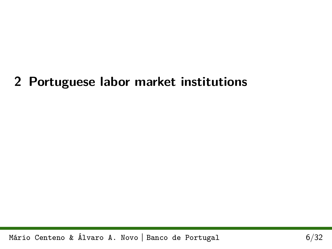# <span id="page-5-0"></span>**2 Portuguese labor market institutions**

Mário Centeno & Álvaro A. Novo **|** Banco de Portugal 6[/32](#page-31-0)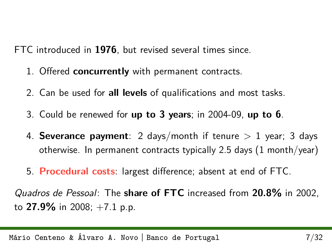FTC introduced in **1976**, but revised several times since.

- 1. Offered **concurrently** with permanent contracts.
- 2. Can be used for **all levels** of qualifications and most tasks.
- 3. Could be renewed for **up to 3 years**; in 2004-09, **up to 6**.
- 4. **Severance payment**: 2 days/month if tenure  $> 1$  year; 3 days otherwise. In permanent contracts typically 2.5 days (1 month/year)
- 5. **Procedural costs**: largest difference; absent at end of FTC.

Quadros de Pessoal: The **share of FTC** increased from **20.8%** in 2002, to **27.9%** in 2008; +7.1 p.p.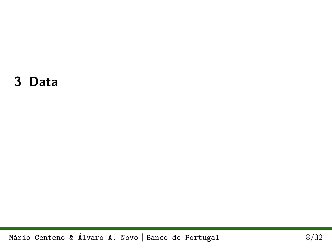# <span id="page-7-0"></span>**3 Data**

Mário Centeno & Álvaro A. Novo **|** Banco de Portugal 8[/32](#page-31-0)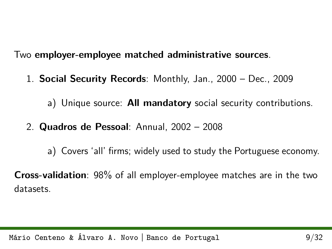Two **employer-employee matched administrative sources**.

1. **Social Security Records**: Monthly, Jan., 2000 – Dec., 2009

a) Unique source: **All mandatory** social security contributions.

2. **Quadros de Pessoal**: Annual, 2002 – 2008

a) Covers 'all' firms; widely used to study the Portuguese economy.

**Cross-validation**: 98% of all employer-employee matches are in the two datasets.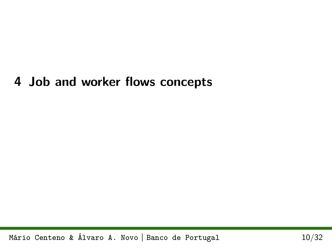### <span id="page-9-0"></span>**4 Job and worker flows concepts**

Mário Centeno & Álvaro A. Novo **|** Banco de Portugal 10[/32](#page-31-0)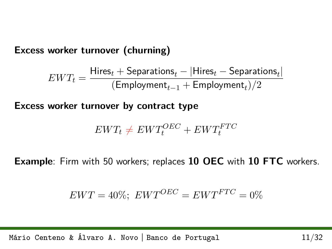**Excess worker turnover (churning)**

$$
EWT_{t} = \frac{\textrm{Hires}_{t} + \textrm{Separations}_{t} - |\textrm{Hires}_{t} - \textrm{Separations}_{t}|}{(\textrm{Emplogment}_{t-1} + \textrm{Emplogment}_{t})/2}
$$

**Excess worker turnover by contract type**

$$
EWT_t \neq EWT_t^{OEC} + EWT_t^{FTC}
$$

**Example**: Firm with 50 workers; replaces **10 OEC** with **10 FTC** workers.

$$
EWT = 40\%; \quad EWT^{OEC} = EWT^{FTC} = 0\%
$$

Mário Centeno & Álvaro A. Novo **|** Banco de Portugal 11[/32](#page-31-0)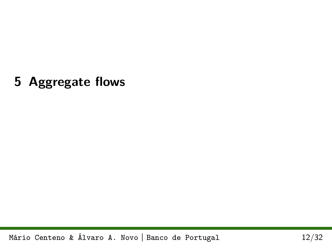<span id="page-11-0"></span>**5 Aggregate flows**

Mário Centeno & Álvaro A. Novo **|** Banco de Portugal 12[/32](#page-31-0)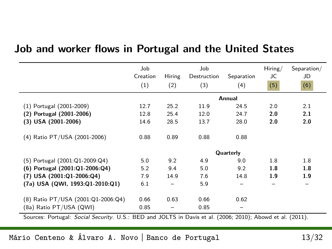### **Job and worker flows in Portugal and the United States**

|                                                               | Job<br>Creation |               | Job                                                           |                   | Hiring/<br>JC | Separation/<br>JD           |
|---------------------------------------------------------------|-----------------|---------------|---------------------------------------------------------------|-------------------|---------------|-----------------------------|
|                                                               | (1)             | Hiring<br>(2) | Destruction<br>(3)                                            | Separation<br>(4) | (5)           | (6)                         |
|                                                               |                 |               |                                                               | Annual            |               |                             |
| (1) Portugal (2001-2009)                                      | 12.7            | 25.2          | 11.9                                                          | 24.5              | 2.0           | 2.1                         |
| (2) Portugal (2001-2006)                                      | 12.8            | 25.4          | 12.0                                                          | 24.7              | 2.0           | 2.1                         |
| $(3)$ USA $(2001-2006)$                                       | 14.6            | 28.5          | 13.7                                                          | 28.0              | 2.0           | 2.0                         |
| (4) Ratio PT/USA (2001-2006)                                  | 0.88            | 0.89          | 0.88                                                          | 0.88              |               |                             |
|                                                               |                 |               |                                                               | Quarterly         |               |                             |
| (5) Portugal (2001:Q1-2009:Q4)                                | 5.0             | 9.2           | 4.9                                                           | 9.0               | 1.8           | 1.8                         |
| (6) Portugal (2001:Q1-2006:Q4)                                | 5.2             | 9.4           | 5.0                                                           | 9.2               | 1.8           | 1.8                         |
| $(7)$ USA $(2001:Q1-2006:Q4)$                                 | 7.9             | 14.9          | 7.6                                                           | 14.8              | 1.9           | 1.9                         |
| (7a) USA (QWI, 1993:Q1-2010:Q1)                               | 6.1             |               | 5.9                                                           |                   |               |                             |
| (8) Ratio PT/USA (2001:Q1-2006:Q4)<br>(8a) Ratio PT/USA (QWI) | 0.66<br>0.85    | 0.63          | 0.66<br>0.85                                                  | 0.62              |               |                             |
| $\sim$<br><b>P.</b> LAIR<br>$\cdots$<br>$\sim$ $\sim$         | $n - n$         |               | $1.101 \pm 0.1$ $\rightarrow$ $1.40000$ 0010) $\rightarrow$ 1 |                   |               | $1 \cdot 1$ ( $0 \cdot 1$ ) |

Sources: Portugal: Social Security. U.S.: BED and JOLTS in Davis et al. (2006; 2010); Abowd et al. (2011).

#### Mário Centeno & Álvaro A. Novo **|** Banco de Portugal 13[/32](#page-31-0)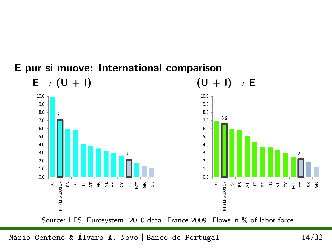#### **E pur si muove: International comparison**  $E \rightarrow (U + I)$   $(U + I) \rightarrow E$ 10.0 10.0 9.0 9.0 8.0 8.0 7.1 6.6 7.0 7.0 6.0 6.0 5.0 5.0 4.0 4.0 3.0 3.0 2.2 2.1 2.0 2.0 1.0 1.0  $0.0$ 0.0  $\widetilde{\mathbb{E}}$ SI **TT** (LFS 2011) FI PT (LFS 2011) PT (LFS 2011) R F F F F F F F F F F F F PT (LFS 2011) 그 집 없 다 님 さとをとえる Source: LFS, Eurosystem. 2010 data. France 2009. Flows in % of labor force.

Mário Centeno & Álvaro A. Novo **|** Banco de Portugal 14[/32](#page-31-0)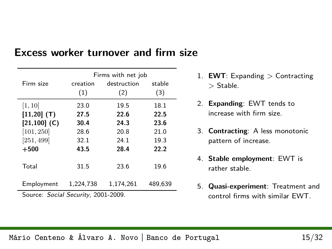|                | Firms with net job |             |         |  |  |  |
|----------------|--------------------|-------------|---------|--|--|--|
| Firm size      | creation           | destruction | stable  |  |  |  |
|                | (1)                | (2)         | (3)     |  |  |  |
| [1, 10]        | 23.0               | 19.5        | 18.1    |  |  |  |
| $[11, 20]$ (T) | 27.5               | 22.6        | 22.5    |  |  |  |
| $[21,100]$ (C) | 30.4               | 24.3        | 23.6    |  |  |  |
| [101, 250]     | 28.6               | 20.8        | 21.0    |  |  |  |
| [251, 499]     | 32.1               | 24.1        | 19.3    |  |  |  |
| $+500$         | 43.5               | 28.4        | 22.2    |  |  |  |
|                |                    |             |         |  |  |  |
| Total          | 31.5               | 23.6        | 19.6    |  |  |  |
|                |                    |             |         |  |  |  |
| Employment     | 1.224.738          | 1.174.261   | 489.639 |  |  |  |
| aaaa           |                    |             |         |  |  |  |

### **Excess worker turnover and firm size**

Source: Social Security, 2001-2009.

- 1. **EWT**: Expanding *>* Contracting *>* Stable.
- 2. **Expanding**: EWT tends to increase with firm size.
- 3. **Contracting**: A less monotonic pattern of increase.
- 4. **Stable employment**: EWT is rather stable.
- 5. **Quasi-experiment**: Treatment and control firms with similar EWT.

#### Mário Centeno & Álvaro A. Novo **|** Banco de Portugal 15[/32](#page-31-0)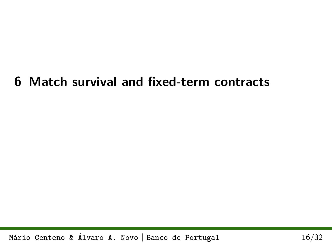# <span id="page-15-0"></span>**6 Match survival and fixed-term contracts**

Mário Centeno & Álvaro A. Novo **|** Banco de Portugal 16[/32](#page-31-0)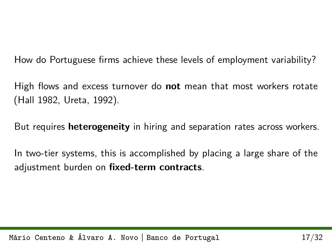How do Portuguese firms achieve these levels of employment variability?

High flows and excess turnover do **not** mean that most workers rotate (Hall 1982, Ureta, 1992).

But requires **heterogeneity** in hiring and separation rates across workers.

In two-tier systems, this is accomplished by placing a large share of the adjustment burden on **fixed-term contracts**.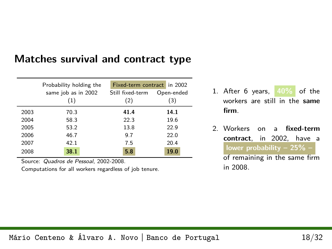### **Matches survival and contract type**

|      | Probability holding the | Fixed-term contract in 2002 |            |  |  |  |
|------|-------------------------|-----------------------------|------------|--|--|--|
|      | same job as in 2002     | Still fixed-term            | Open-ended |  |  |  |
|      | (1)                     | (2)                         | (3)        |  |  |  |
| 2003 | 70.3                    | 41.4                        | 14.1       |  |  |  |
| 2004 | 58.3                    | 22.3                        | 19.6       |  |  |  |
| 2005 | 53.2                    | 13.8                        | 22.9       |  |  |  |
| 2006 | 46.7                    | 9.7                         | 22.0       |  |  |  |
| 2007 | 42.1                    | 7.5                         | 20.4       |  |  |  |
| 2008 | 38.1                    | 5.8                         | 19.0       |  |  |  |

Source: Quadros de Pessoal, 2002-2008.

Computations for all workers regardless of job tenure.

- 1. After 6 years, **40%** of the workers are still in the **same firm**.
- 2. Workers on a **fixed-term contract**, in 2002, have a **lower probability – 25% –** of remaining in the same firm

in 2008.

Mário Centeno & Álvaro A. Novo **|** Banco de Portugal 18[/32](#page-31-0)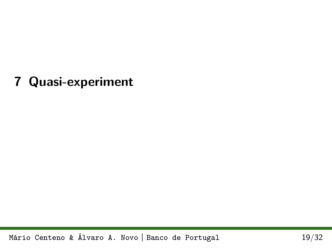# <span id="page-18-0"></span>**7 Quasi-experiment**

Mário Centeno & Álvaro A. Novo **|** Banco de Portugal 19[/32](#page-31-0)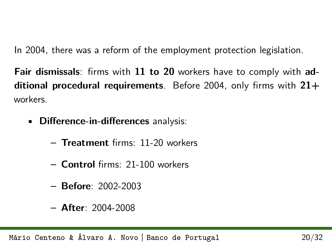In 2004, there was a reform of the employment protection legislation.

**Fair dismissals**: firms with **11 to 20** workers have to comply with **additional procedural requirements**. Before 2004, only firms with **21+** workers.

- **Difference-in-differences** analysis:
	- **– Treatment** firms: 11-20 workers
	- **– Control** firms: 21-100 workers
	- **– Before**: 2002-2003
	- **– After**: 2004-2008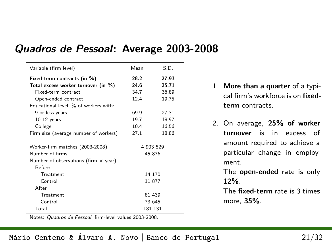| Variable (firm level)                       | Mean   | S.D.      |
|---------------------------------------------|--------|-----------|
| Fixed-term contracts (in %)                 | 28.2   | 27.93     |
| Total excess worker turnover (in %)         | 24.6   | 25.71     |
| Fixed-term contract                         | 34.7   | 36.89     |
| Open-ended contract                         | 12.4   | 19.75     |
| Educational level, % of workers with:       |        |           |
| 9 or less years                             | 69.9   | 27.31     |
| $10-12$ years                               | 19.7   | 18.97     |
| College                                     | 10.4   | 16.56     |
| Firm size (average number of workers)       | 27.1   | 18.86     |
| Worker-firm matches (2003-2008)             |        | 4 903 529 |
| Number of firms                             | 45 876 |           |
| Number of observations (firm $\times$ year) |        |           |
| <b>Before</b>                               |        |           |
| Treatment                                   |        | 14 170    |
| Control                                     |        | 11 877    |
| After                                       |        |           |
| Treatment                                   |        | 81 439    |
| Control                                     |        | 73 645    |
| Total                                       |        | 181 131   |

#### **Quadros de Pessoal: Average 2003-2008**

- 1. **More than a quarter** of a typical firm's workforce is on **fixedterm** contracts.
- 2. On average, **25% of worker turnover** is in excess of amount required to achieve a particular change in employment.

The **open-ended** rate is only **12%**.

The **fixed-term** rate is 3 times more, **35%**.

Notes: Quadros de Pessoal, firm-level values 2003-2008.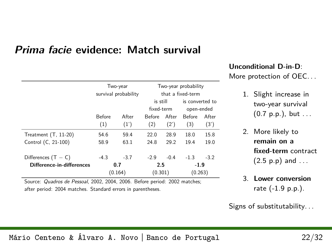#### **Prima facie evidence: Match survival**

|                           | Two-year             |        |                             | Two-year probability<br>that a fixed-term |                             |        |  |
|---------------------------|----------------------|--------|-----------------------------|-------------------------------------------|-----------------------------|--------|--|
|                           | survival probability |        | is still                    |                                           | is converted to             |        |  |
|                           | <b>Before</b>        | After  | fixed-term<br><b>Before</b> | After                                     | open-ended<br><b>Before</b> | After  |  |
|                           | (1)                  | (1')   | (2)                         | (2')                                      | (3)                         | (3')   |  |
| Treatment $(T, 11-20)$    | 54.6                 | 59.4   | 22.0                        | 28.9                                      | 18.0                        | 15.8   |  |
| Control (C, 21-100)       | 58.9                 | 63.1   | 24.8                        | 29.2                                      | 19.4                        | 19.0   |  |
| Differences $(T - C)$     | $-4.3$               | $-3.7$ | $-2.9$                      | $-0.4$                                    | $-1.3$                      | $-3.2$ |  |
| Difference-in-differences | 0.7                  |        | 2.5                         |                                           | $-1.9$                      |        |  |
|                           | (0.164)              |        | (0.301)                     |                                           | (0.263)                     |        |  |

Source: Quadros de Pessoal, 2002, 2004, 2006. Before period: 2002 matches; after period: 2004 matches. Standard errors in parentheses.

#### **Unconditional D-in-D**:

More protection of OEC. . .

- 1. Slight increase in two-year survival  $(0.7 \, \text{p.p.})$ , but ...
- 2. More likely to **remain on a fixed-term** contract  $(2.5 \, \text{p.p})$  and ...
- 3. **Lower conversion** rate (-1.9 p.p.).

Signs of substitutability. . .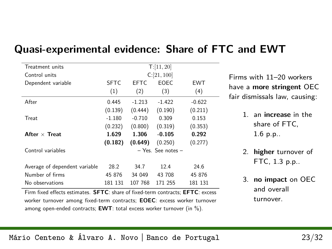| Treatment units                                                                  |            | T:[11, 20] |                        |          |  |  |  |  |
|----------------------------------------------------------------------------------|------------|------------|------------------------|----------|--|--|--|--|
| Control units                                                                    | C:[21,100] |            |                        |          |  |  |  |  |
| Dependent variable                                                               | SFTC.      | EFTC.      | EOEC.                  | EWT      |  |  |  |  |
|                                                                                  | (1)        | (2)        | (3)                    | (4)      |  |  |  |  |
| After                                                                            | 0.445      | $-1.213$   | $-1.422$               | $-0.622$ |  |  |  |  |
|                                                                                  | (0.139)    | (0.444)    | (0.190)                | (0.211)  |  |  |  |  |
| Treat                                                                            | $-1.180$   | $-0.710$   | 0.309                  | 0.153    |  |  |  |  |
|                                                                                  | (0.232)    | (0.800)    | (0.319)                | (0.353)  |  |  |  |  |
| After $\times$ Treat                                                             | 1.629      | 1.306      | $-0.105$               | 0.292    |  |  |  |  |
|                                                                                  | (0.182)    | (0.649)    | (0.250)                | (0.277)  |  |  |  |  |
| Control variables                                                                |            |            | $-$ Yes. See notes $-$ |          |  |  |  |  |
|                                                                                  |            |            |                        |          |  |  |  |  |
| Average of dependent variable                                                    | 28.2       | 34.7       | 12.4                   | 24.6     |  |  |  |  |
| Number of firms                                                                  | 45 876     | 34 049     | 43 708                 | 45 876   |  |  |  |  |
| No observations                                                                  | 181 131    | 107 768    | 171 255                | 181 131  |  |  |  |  |
| Firm fixed effects estimates. SFTC: share of fixed-term contracts; EFTC: excess  |            |            |                        |          |  |  |  |  |
| worker turnover among fixed-term contracts; <b>EOEC</b> : excess worker turnover |            |            |                        |          |  |  |  |  |

#### **Quasi-experimental evidence: Share of FTC and EWT**

Firms with 11–20 workers have a **more stringent** OEC fair dismissals law, causing:

- 1. an **increase** in the share of FTC, 1.6 p.p..
- 2. **higher** turnover of FTC, 1.3 p.p..
- 3. **no impact** on OEC and overall turnover.

#### Mário Centeno & Álvaro A. Novo **|** Banco de Portugal 23[/32](#page-31-0)

among open-ended contracts; **EWT**: total excess worker turnover (in %).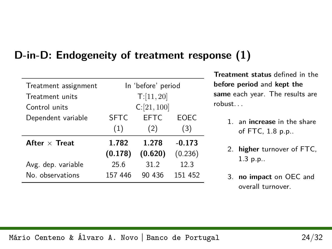### **D-in-D: Endogeneity of treatment response (1)**

| Treatment assignment | In 'before' period |             |          |  |  |
|----------------------|--------------------|-------------|----------|--|--|
| Treatment units      |                    | T:[11,20]   |          |  |  |
| Control units        |                    | C:[21,100]  |          |  |  |
| Dependent variable   | <b>SFTC</b>        | <b>EFTC</b> | EOEC     |  |  |
|                      | (1)                | (2)         | (3)      |  |  |
| After $\times$ Treat | 1.782              | 1.278       | $-0.173$ |  |  |
|                      | (0.178)            | (0.620)     | (0.236)  |  |  |
| Avg. dep. variable   | 25.6               | 31.2        | 12.3     |  |  |
| No observations      | 157 446            | 90 436      | 151 452  |  |  |
|                      |                    |             |          |  |  |

**Treatment status** defined in the **before period** and **kept the same** each year. The results are robust. . .

- 1. an **increase** in the share of FTC, 1.8 p.p..
- 2. **higher** turnover of FTC, 1.3 p.p..
- 3. **no impact** on OEC and overall turnover.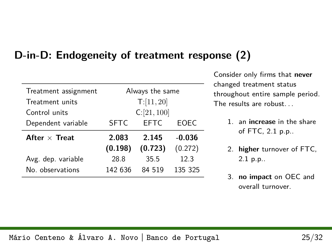### **D-in-D: Endogeneity of treatment response (2)**

| Treatment assignment |                                    | Always the same |         |  |  |  |
|----------------------|------------------------------------|-----------------|---------|--|--|--|
| Treatment units      | T:[11, 20]                         |                 |         |  |  |  |
| Control units        | C:[21,100]                         |                 |         |  |  |  |
| Dependent variable   | <b>SFTC</b><br><b>FFTC</b><br>EOEC |                 |         |  |  |  |
| After $\times$ Treat | 2.083<br>$-0.036$<br>2.145         |                 |         |  |  |  |
|                      | (0.198)                            | (0.723)         | (0.272) |  |  |  |
| Avg. dep. variable   | 28.8                               | 35.5            | 12.3    |  |  |  |
| No. observations     | 142 636                            | 84 519          | 135 325 |  |  |  |
|                      |                                    |                 |         |  |  |  |

Consider only firms that **never** changed treatment status throughout entire sample period. The results are robust. . .

- 1. an **increase** in the share of FTC, 2.1 p.p..
- 2. **higher** turnover of FTC, 2.1 p.p..
- 3. **no impact** on OEC and overall turnover.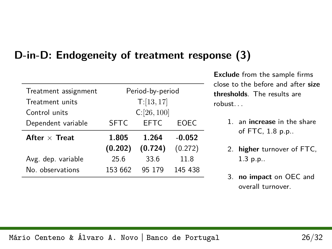### **D-in-D: Endogeneity of treatment response (3)**

| Treatment assignment | Period-by-period                   |         |         |  |  |
|----------------------|------------------------------------|---------|---------|--|--|
| Treatment units      | T:[13, 17]                         |         |         |  |  |
| Control units        | C:[26,100]                         |         |         |  |  |
| Dependent variable   | <b>FFTC</b><br><b>SFTC</b><br>EOEC |         |         |  |  |
| After $\times$ Treat | 1.805<br>1.264<br>$-0.052$         |         |         |  |  |
|                      | (0.202)                            | (0.724) | (0.272) |  |  |
| Avg. dep. variable   | 25.6                               | 33.6    | 11.8    |  |  |
| No observations      | 153 662                            | 95 179  | 145 438 |  |  |
|                      |                                    |         |         |  |  |

**Exclude** from the sample firms close to the before and after **size thresholds**. The results are robust. . .

- 1. an **increase** in the share of FTC, 1.8 p.p..
- 2. **higher** turnover of FTC, 1.3 p.p..
- 3. **no impact** on OEC and overall turnover.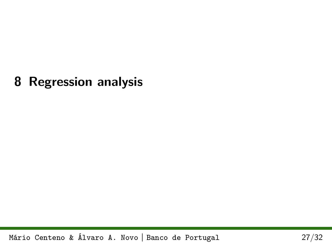### <span id="page-26-0"></span>**8 Regression analysis**

Mário Centeno & Álvaro A. Novo **|** Banco de Portugal 27[/32](#page-31-0)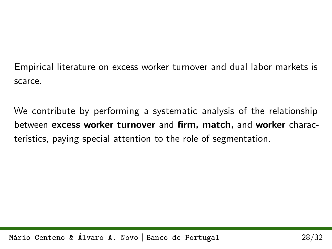Empirical literature on excess worker turnover and dual labor markets is scarce.

We contribute by performing a systematic analysis of the relationship between **excess worker turnover** and **firm, match,** and **worker** characteristics, paying special attention to the role of segmentation.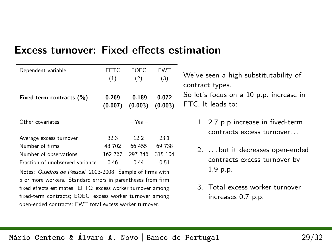| <b>Excess turnover: Fixed effects estimation</b> |  |  |
|--------------------------------------------------|--|--|
|                                                  |  |  |

| Dependent variable              | EFTC.   | EOEC.       | EWT     |
|---------------------------------|---------|-------------|---------|
|                                 | (1)     | (2)         | (3)     |
| Fixed-term contracts (%)        | 0.269   | $-0.189$    | 0.072   |
|                                 | (0.007) | (0.003)     | (0.003) |
| Other covariates                |         | $-$ Yes $-$ |         |
| Average excess turnover         | 32.3    | 122         | 23.1    |
| Number of firms                 | 48 702  | 66 455      | 69 738  |
| Number of observations          | 162 767 | 297 346     | 315 104 |
| Fraction of unobserved variance | 0.46    | 0.44        | 0.51    |

Notes: Quadros de Pessoal, 2003-2008. Sample of firms with 5 or more workers. Standard errors in parentheses from firm fixed effects estimates. EFTC: excess worker turnover among fixed-term contracts; EOEC: excess worker turnover among open-ended contracts; EWT total excess worker turnover.

We've seen a high substitutability of - contract types. So let's focus on a 10 p.p. increase in FTC. It leads to:

- 1. 2.7 p.p increase in fixed-term contracts excess turnover. . .
- 2. . . . but it decreases open-ended contracts excess turnover by 1.9 p.p.
- 3. Total excess worker turnover increases 0.7 p.p.

#### Mário Centeno & Álvaro A. Novo **|** Banco de Portugal 29[/32](#page-31-0)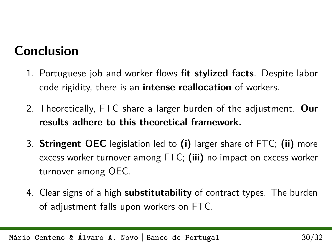# **Conclusion**

- 1. Portuguese job and worker flows **fit stylized facts**. Despite labor code rigidity, there is an **intense reallocation** of workers.
- 2. Theoretically, FTC share a larger burden of the adjustment. **Our results adhere to this theoretical framework.**
- 3. **Stringent OEC** legislation led to **(i)** larger share of FTC; **(ii)** more excess worker turnover among FTC; **(iii)** no impact on excess worker turnover among OEC.
- 4. Clear signs of a high **substitutability** of contract types. The burden of adjustment falls upon workers on FTC.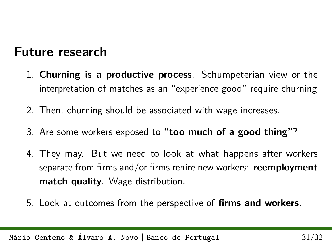### **Future research**

- 1. **Churning is a productive process**. Schumpeterian view or the interpretation of matches as an "experience good" require churning.
- 2. Then, churning should be associated with wage increases.
- 3. Are some workers exposed to **"too much of a good thing"**?
- 4. They may. But we need to look at what happens after workers separate from firms and/or firms rehire new workers: **reemployment match quality**. Wage distribution.
- 5. Look at outcomes from the perspective of **firms and workers**.